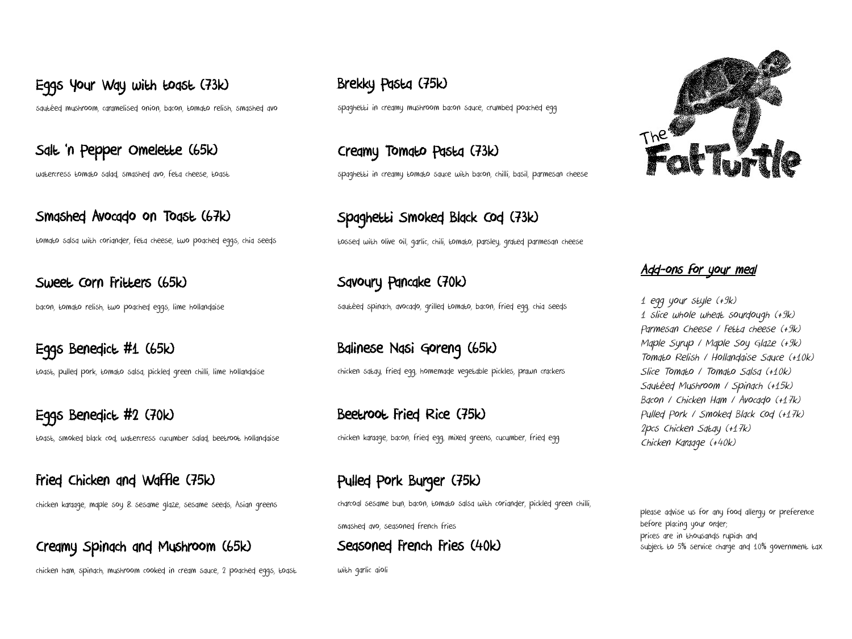# Eggs Your Way with toast (73k)

sautéed mushroom, caramelised onion, bacon, tomato relish, smashed avo

Salt 'n Pepper Omelette (65k)

watercress tomato salad, smashed avo, feta cheese, toast

Smashed Avocado on Toast (67k)

tomato salsa with coriander, feta cheese, two poached eggs, chia seeds

Sweet Corn Fritters (65k)

bacon, tomato relish, two poached eggs, lime hollandaise

Eggs Benedict #1 (65k) toast, pulled pork, tomato salsa, pickled green chilli, lime hollandaise

Eggs Benedict #2 (70k)

toast, smoked black cod, watercress cucumber salad, beetroot hollandaise

Fried Chicken and Waffle (75k)

chicken karaage, maple soy & sesame glaze, sesame seeds, Asian greens

Creamy Spinach and Mushroom (65k)

chicken ham, spinach, mushroom cooked in cream sauce, 2 poached eggs, toast

Brekky Pasta (75k)

spaghetti in creamy mushroom bacon sauce, crumbed poached egg

Creamy Tomato Pasta (73k) spaghetti in creamy tomato sauce with bacon, chilli, basil, parmesan cheese

Spaghetti Smoked Black Cod (73k)

tossed with olive oil, garlic, chili, tomato, parsley, grated parmesan cheese

Savoury Pancake (70k)

sautéed spinach, avocado, grilled tomato, bacon, fried egg, chia seeds

Balinese Nasi Goreng (65k) chicken satay, fried egg, homemade vegetable pickles, prawn crackers

Beetroot Fried Rice (75k) chicken karaage, bacon, fried egg, mixed greens, cucumber, fried egg

Pulled Pork Burger (75k) charcoal sesame bun, bacon, tomato salsa with coriander, pickled green chilli, smashed avo, seasoned french fries

#### Seasoned French Fries (40k)

with garlic aioli



#### Add-ons for your meal

1 egg your style (+9k) 1 slice whole wheat sourdough (+9k) Parmesan Cheese / Fetta cheese (+9k) Maple Syrup / Maple Soy Glaze (+9k) Tomato Relish / Hollandaise Sauce (+10k) Slice Tomato / Tomato Salsa (+10k) Sautéed Mushroom / Spinach (+15k) Bacon / Chicken Ham / Avocado (+17k) Pulled Pork / Smoked Black Cod (+17k) 2pcs Chicken Satay (+17k) Chicken Karaage (+40k)

please advise us for any food allergy or preference before placing your order; prices are in thousands rupiah and subject to 5% service charge and 10% government tax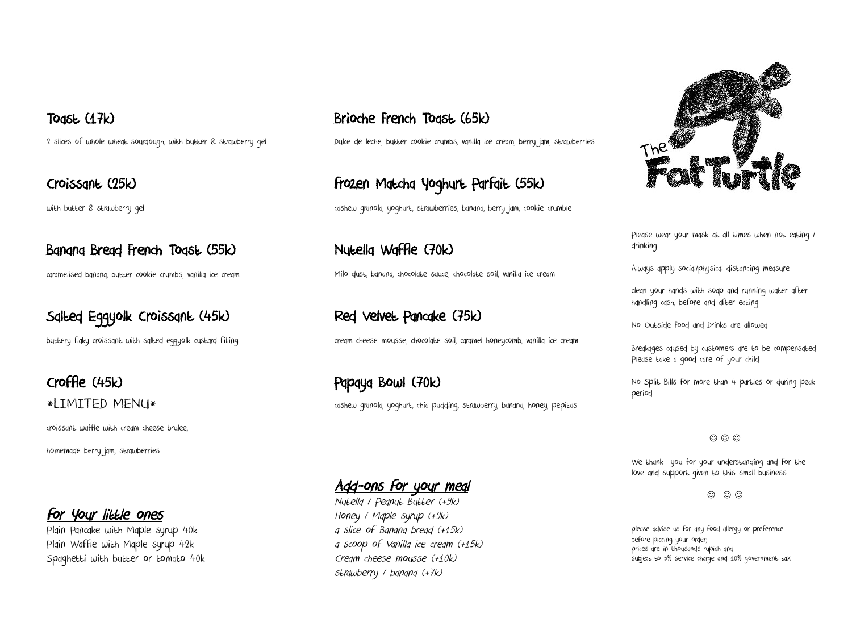## Toast (17k)

2 slices of whole wheat sourdough, with butter & strawberry gel

Croissant (25k)

with butter & strawberry gel

#### Banana Bread French Toast (55k)

caramelised banana, butter cookie crumbs, vanilla ice cream

## Salted Eggyolk Croissant (45k)

buttery flaky croissant with salted eggyolk custard filling

# Croffle (45k) \*LIMITED MENU\*

croissant waffle with cream cheese brulee,

homemade berry jam, strawberries

#### for your little ones

Plain Pancake with Maple syrup 40k Plain Waffle with Maple syrup 42k Spaghetti with butter or tomato 40k

#### Brioche French Toast (65k)

Dulce de leche, butter cookie crumbs, vanilla ice cream, berry jam, strawberries

### frozen Matcha Yoghurt Parfait (55k)

cashew granola, yoghurt, strawberries, banana, berry jam, cookie crumble

# Nutella Waffle (70k)

Milo dust, banana, chocolate sauce, chocolate soil, vanilla ice cream

#### Red Velvet Pancake (75k)

cream cheese mousse, chocolate soil, caramel honeycomb, vanilla ice cream

Papaya Bowl (70k) cashew granola, yoghurt, chia pudding, strawberry, banana, honey, pepitas



Please wear your mask at all times when not eating / drinking

Always apply social/physical distancing measure

clean your hands with soap and running water after handling cash, before and after eating

No Outside Food and Drinks are allowed

Breakages caused by customers are to be compensated Please take a good care of your child

No Split Bills for more than 4 parties or during peak period

 $\circledcirc$   $\circledcirc$ 

We thank you for your understanding and for the love and support given to this small business

 $\circledcirc$   $\circledcirc$ 

#### please advise us for any food allergy or preference before placing your order; prices are in thousands rupiah and subject to 5% service charge and 10% government tax

#### Add-ons for your meal

Nutella / Peanut Butter (+9k) Honey / Maple syrup (+9k) a slice of Banana bread (+15k) a scoop of Vanilla ice cream (+15k) Cream cheese mousse (+10k) strawberry / banana (+7k)